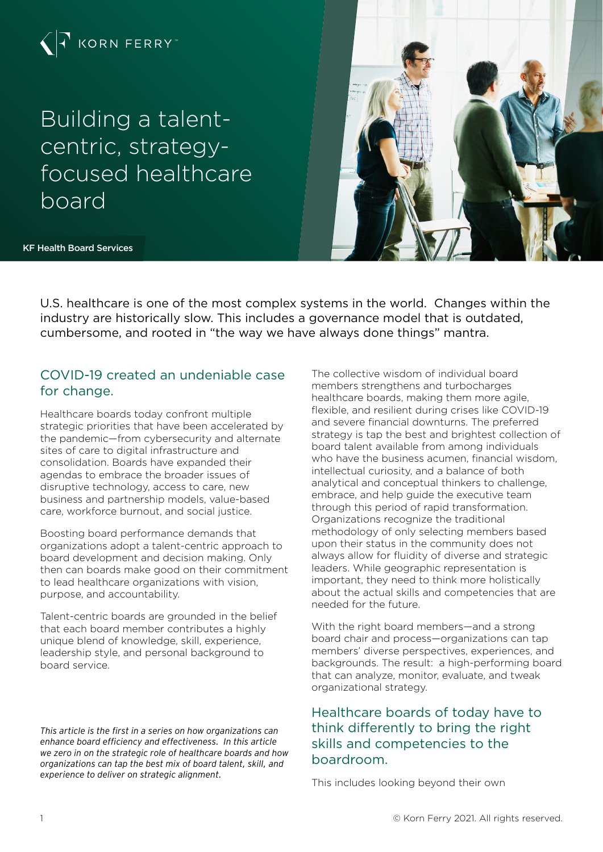

Building a talentcentric, strategyfocused healthcare board

KF Health Board Services



U.S. healthcare is one of the most complex systems in the world. Changes within the industry are historically slow. This includes a governance model that is outdated, cumbersome, and rooted in "the way we have always done things" mantra.

# COVID-19 created an undeniable case for change.

Healthcare boards today confront multiple strategic priorities that have been accelerated by the pandemic—from cybersecurity and alternate sites of care to digital infrastructure and consolidation. Boards have expanded their agendas to embrace the broader issues of disruptive technology, access to care, new business and partnership models, value-based care, workforce burnout, and social justice.

Boosting board performance demands that organizations adopt a talent-centric approach to board development and decision making. Only then can boards make good on their commitment to lead healthcare organizations with vision, purpose, and accountability.

Talent-centric boards are grounded in the belief that each board member contributes a highly unique blend of knowledge, skill, experience, leadership style, and personal background to board service.

*This article is the first in a series on how organizations can enhance board efficiency and effectiveness. In this article we zero in on the strategic role of healthcare boards and how organizations can tap the best mix of board talent, skill, and experience to deliver on strategic alignment.*

The collective wisdom of individual board members strengthens and turbocharges healthcare boards, making them more agile, flexible, and resilient during crises like COVID-19 and severe financial downturns. The preferred strategy is tap the best and brightest collection of board talent available from among individuals who have the business acumen, financial wisdom. intellectual curiosity, and a balance of both analytical and conceptual thinkers to challenge, embrace, and help guide the executive team through this period of rapid transformation. Organizations recognize the traditional methodology of only selecting members based upon their status in the community does not always allow for fluidity of diverse and strategic leaders. While geographic representation is important, they need to think more holistically about the actual skills and competencies that are needed for the future.

With the right board members—and a strong board chair and process—organizations can tap members' diverse perspectives, experiences, and backgrounds. The result: a high-performing board that can analyze, monitor, evaluate, and tweak organizational strategy.

# Healthcare boards of today have to think differently to bring the right skills and competencies to the boardroom.

This includes looking beyond their own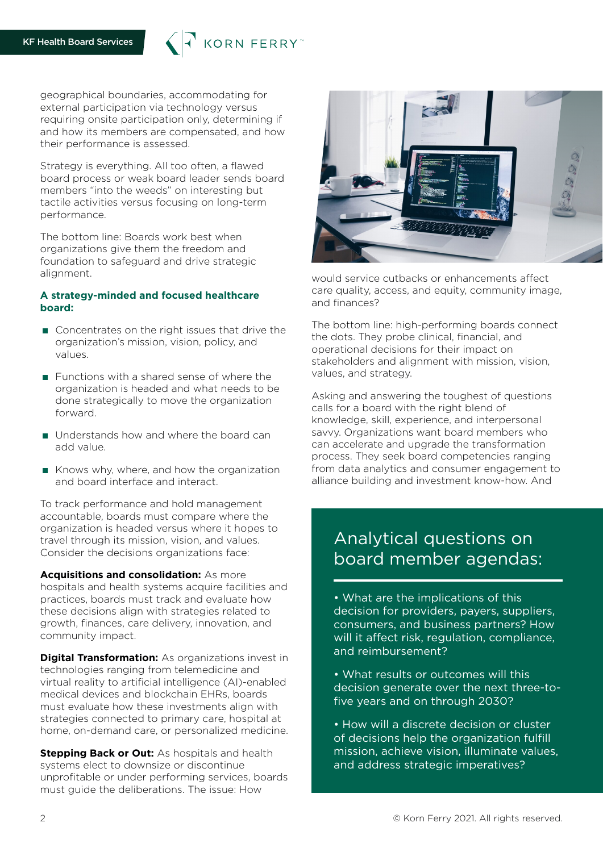

geographical boundaries, accommodating for external participation via technology versus requiring onsite participation only, determining if and how its members are compensated, and how their performance is assessed.

Strategy is everything. All too often, a flawed board process or weak board leader sends board members "into the weeds" on interesting but tactile activities versus focusing on long-term performance.

The bottom line: Boards work best when organizations give them the freedom and foundation to safeguard and drive strategic alignment.

### **A strategy-minded and focused healthcare board:**

- Concentrates on the right issues that drive the organization's mission, vision, policy, and values.
- $\blacksquare$  Functions with a shared sense of where the organization is headed and what needs to be done strategically to move the organization forward.
- Understands how and where the board can add value.
- Knows why, where, and how the organization and board interface and interact.

To track performance and hold management accountable, boards must compare where the organization is headed versus where it hopes to travel through its mission, vision, and values. Consider the decisions organizations face:

**Acquisitions and consolidation:** As more hospitals and health systems acquire facilities and practices, boards must track and evaluate how these decisions align with strategies related to growth, finances, care delivery, innovation, and community impact.

**Digital Transformation:** As organizations invest in technologies ranging from telemedicine and virtual reality to artificial intelligence (AI)-enabled medical devices and blockchain EHRs, boards must evaluate how these investments align with strategies connected to primary care, hospital at home, on-demand care, or personalized medicine.

**Stepping Back or Out:** As hospitals and health systems elect to downsize or discontinue unprofitable or under performing services, boards must guide the deliberations. The issue: How



would service cutbacks or enhancements affect care quality, access, and equity, community image, and finances?

The bottom line: high-performing boards connect the dots. They probe clinical, financial, and operational decisions for their impact on stakeholders and alignment with mission, vision, values, and strategy.

Asking and answering the toughest of questions calls for a board with the right blend of knowledge, skill, experience, and interpersonal savvy. Organizations want board members who can accelerate and upgrade the transformation process. They seek board competencies ranging from data analytics and consumer engagement to alliance building and investment know-how. And

# Analytical questions on board member agendas:

• What are the implications of this decision for providers, payers, suppliers, consumers, and business partners? How will it affect risk, regulation, compliance, and reimbursement?

- What results or outcomes will this decision generate over the next three-tofive years and on through 2030?
- How will a discrete decision or cluster of decisions help the organization fulfill mission, achieve vision, illuminate values, and address strategic imperatives?